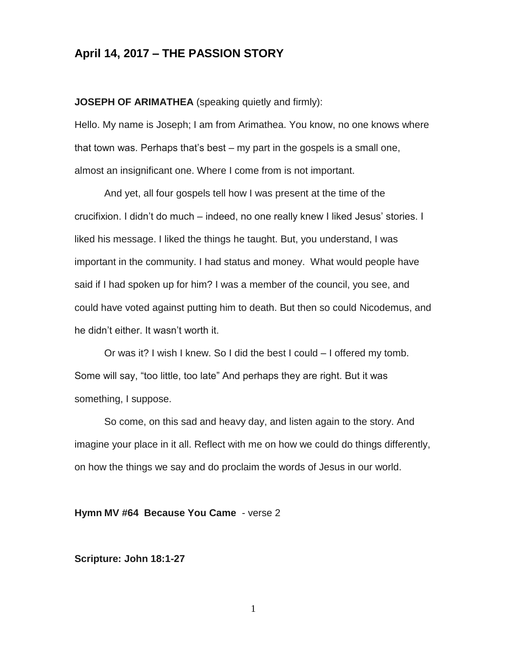# **April 14, 2017 – THE PASSION STORY**

**JOSEPH OF ARIMATHEA** (speaking quietly and firmly):

Hello. My name is Joseph; I am from Arimathea. You know, no one knows where that town was. Perhaps that's best – my part in the gospels is a small one, almost an insignificant one. Where I come from is not important.

And yet, all four gospels tell how I was present at the time of the crucifixion. I didn't do much – indeed, no one really knew I liked Jesus' stories. I liked his message. I liked the things he taught. But, you understand, I was important in the community. I had status and money. What would people have said if I had spoken up for him? I was a member of the council, you see, and could have voted against putting him to death. But then so could Nicodemus, and he didn't either. It wasn't worth it.

Or was it? I wish I knew. So I did the best I could – I offered my tomb. Some will say, "too little, too late" And perhaps they are right. But it was something, I suppose.

So come, on this sad and heavy day, and listen again to the story. And imagine your place in it all. Reflect with me on how we could do things differently, on how the things we say and do proclaim the words of Jesus in our world.

#### **Hymn MV #64 Because You Came** - verse 2

#### **Scripture: John 18:1-27**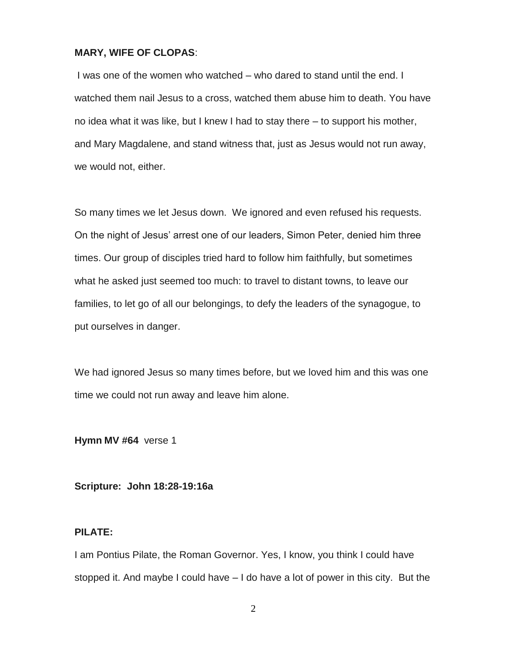#### **MARY, WIFE OF CLOPAS**:

I was one of the women who watched – who dared to stand until the end. I watched them nail Jesus to a cross, watched them abuse him to death. You have no idea what it was like, but I knew I had to stay there – to support his mother, and Mary Magdalene, and stand witness that, just as Jesus would not run away, we would not, either.

So many times we let Jesus down. We ignored and even refused his requests. On the night of Jesus' arrest one of our leaders, Simon Peter, denied him three times. Our group of disciples tried hard to follow him faithfully, but sometimes what he asked just seemed too much: to travel to distant towns, to leave our families, to let go of all our belongings, to defy the leaders of the synagogue, to put ourselves in danger.

We had ignored Jesus so many times before, but we loved him and this was one time we could not run away and leave him alone.

**Hymn MV #64** verse 1

**Scripture: John 18:28-19:16a**

## **PILATE:**

I am Pontius Pilate, the Roman Governor. Yes, I know, you think I could have stopped it. And maybe I could have – I do have a lot of power in this city. But the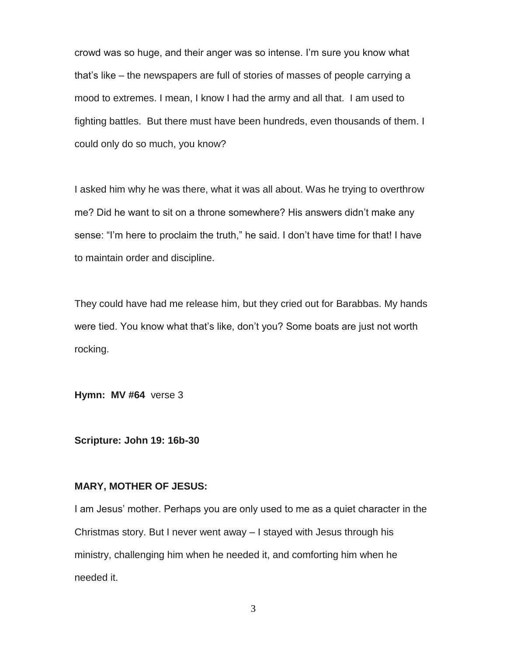crowd was so huge, and their anger was so intense. I'm sure you know what that's like – the newspapers are full of stories of masses of people carrying a mood to extremes. I mean, I know I had the army and all that. I am used to fighting battles. But there must have been hundreds, even thousands of them. I could only do so much, you know?

I asked him why he was there, what it was all about. Was he trying to overthrow me? Did he want to sit on a throne somewhere? His answers didn't make any sense: "I'm here to proclaim the truth," he said. I don't have time for that! I have to maintain order and discipline.

They could have had me release him, but they cried out for Barabbas. My hands were tied. You know what that's like, don't you? Some boats are just not worth rocking.

**Hymn: MV #64** verse 3

**Scripture: John 19: 16b-30**

## **MARY, MOTHER OF JESUS:**

I am Jesus' mother. Perhaps you are only used to me as a quiet character in the Christmas story. But I never went away – I stayed with Jesus through his ministry, challenging him when he needed it, and comforting him when he needed it.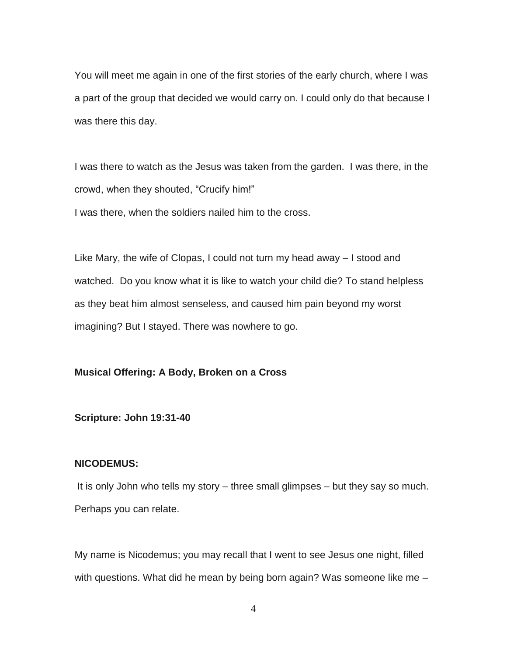You will meet me again in one of the first stories of the early church, where I was a part of the group that decided we would carry on. I could only do that because I was there this day.

I was there to watch as the Jesus was taken from the garden. I was there, in the crowd, when they shouted, "Crucify him!" I was there, when the soldiers nailed him to the cross.

Like Mary, the wife of Clopas, I could not turn my head away – I stood and watched. Do you know what it is like to watch your child die? To stand helpless as they beat him almost senseless, and caused him pain beyond my worst imagining? But I stayed. There was nowhere to go.

## **Musical Offering: A Body, Broken on a Cross**

#### **Scripture: John 19:31-40**

## **NICODEMUS:**

It is only John who tells my story – three small glimpses – but they say so much. Perhaps you can relate.

My name is Nicodemus; you may recall that I went to see Jesus one night, filled with questions. What did he mean by being born again? Was someone like me –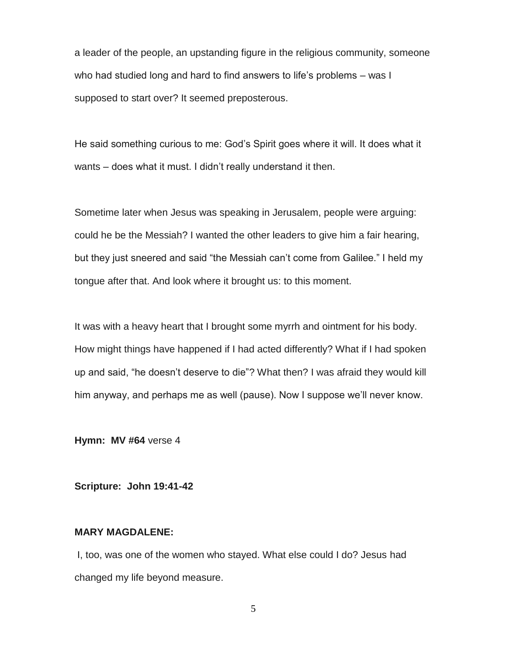a leader of the people, an upstanding figure in the religious community, someone who had studied long and hard to find answers to life's problems – was I supposed to start over? It seemed preposterous.

He said something curious to me: God's Spirit goes where it will. It does what it wants – does what it must. I didn't really understand it then.

Sometime later when Jesus was speaking in Jerusalem, people were arguing: could he be the Messiah? I wanted the other leaders to give him a fair hearing, but they just sneered and said "the Messiah can't come from Galilee." I held my tongue after that. And look where it brought us: to this moment.

It was with a heavy heart that I brought some myrrh and ointment for his body. How might things have happened if I had acted differently? What if I had spoken up and said, "he doesn't deserve to die"? What then? I was afraid they would kill him anyway, and perhaps me as well (pause). Now I suppose we'll never know.

**Hymn: MV #64** verse 4

**Scripture: John 19:41-42**

## **MARY MAGDALENE:**

I, too, was one of the women who stayed. What else could I do? Jesus had changed my life beyond measure.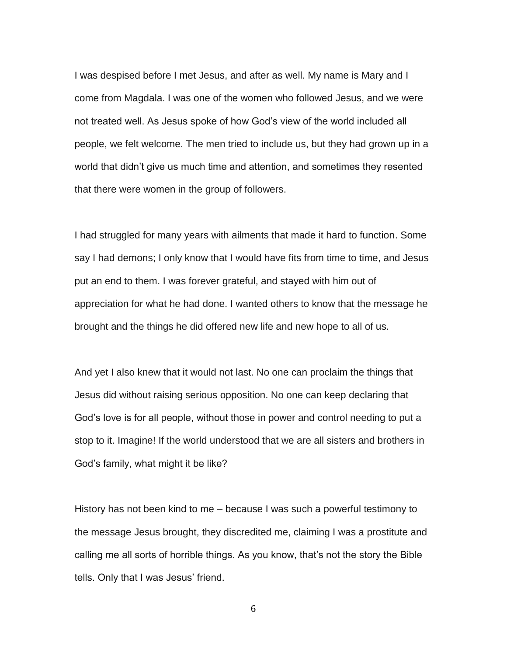I was despised before I met Jesus, and after as well. My name is Mary and I come from Magdala. I was one of the women who followed Jesus, and we were not treated well. As Jesus spoke of how God's view of the world included all people, we felt welcome. The men tried to include us, but they had grown up in a world that didn't give us much time and attention, and sometimes they resented that there were women in the group of followers.

I had struggled for many years with ailments that made it hard to function. Some say I had demons; I only know that I would have fits from time to time, and Jesus put an end to them. I was forever grateful, and stayed with him out of appreciation for what he had done. I wanted others to know that the message he brought and the things he did offered new life and new hope to all of us.

And yet I also knew that it would not last. No one can proclaim the things that Jesus did without raising serious opposition. No one can keep declaring that God's love is for all people, without those in power and control needing to put a stop to it. Imagine! If the world understood that we are all sisters and brothers in God's family, what might it be like?

History has not been kind to me – because I was such a powerful testimony to the message Jesus brought, they discredited me, claiming I was a prostitute and calling me all sorts of horrible things. As you know, that's not the story the Bible tells. Only that I was Jesus' friend.